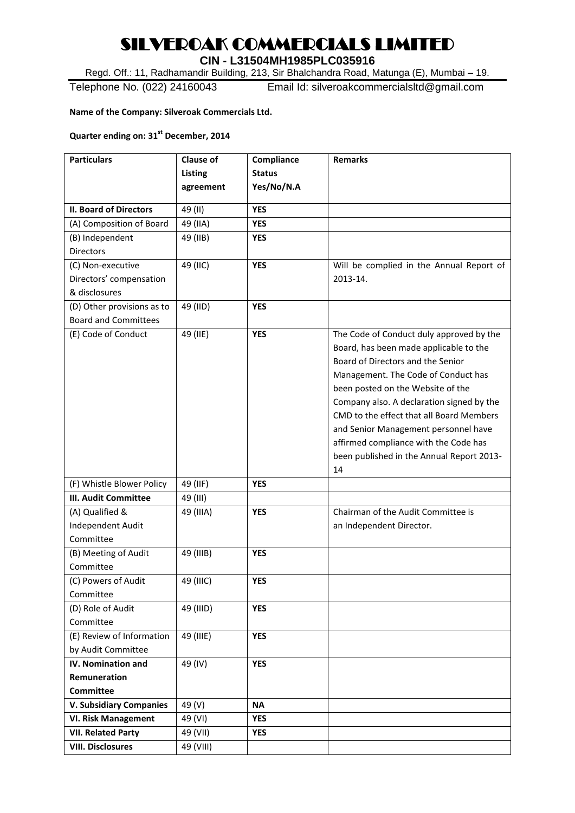## SILVEROAK COMMERCIALS LIMITED

**CIN - L31504MH1985PLC035916**

Regd. Off.: 11, Radhamandir Building, 213, Sir Bhalchandra Road, Matunga (E), Mumbai – 19.

Telephone No. (022) 24160043 Email Id: silveroakcommercialsltd@gmail.com

**Name of the Company: Silveroak Commercials Ltd.**

## **Quarter ending on: 31st December, 2014**

| <b>Particulars</b>             | <b>Clause of</b> | Compliance    | <b>Remarks</b>                                                                        |
|--------------------------------|------------------|---------------|---------------------------------------------------------------------------------------|
|                                | Listing          | <b>Status</b> |                                                                                       |
|                                | agreement        | Yes/No/N.A    |                                                                                       |
| <b>II. Board of Directors</b>  | 49 (II)          | <b>YES</b>    |                                                                                       |
| (A) Composition of Board       | 49 (IIA)         | <b>YES</b>    |                                                                                       |
| (B) Independent                | 49 (IIB)         | <b>YES</b>    |                                                                                       |
| Directors                      |                  |               |                                                                                       |
| (C) Non-executive              | 49 (IIC)         | <b>YES</b>    | Will be complied in the Annual Report of                                              |
| Directors' compensation        |                  |               | 2013-14.                                                                              |
| & disclosures                  |                  |               |                                                                                       |
| (D) Other provisions as to     | 49 (IID)         | <b>YES</b>    |                                                                                       |
| <b>Board and Committees</b>    |                  |               |                                                                                       |
|                                |                  | <b>YES</b>    |                                                                                       |
| (E) Code of Conduct            | 49 (IIE)         |               | The Code of Conduct duly approved by the                                              |
|                                |                  |               | Board, has been made applicable to the                                                |
|                                |                  |               | Board of Directors and the Senior                                                     |
|                                |                  |               | Management. The Code of Conduct has                                                   |
|                                |                  |               | been posted on the Website of the                                                     |
|                                |                  |               | Company also. A declaration signed by the<br>CMD to the effect that all Board Members |
|                                |                  |               |                                                                                       |
|                                |                  |               | and Senior Management personnel have                                                  |
|                                |                  |               | affirmed compliance with the Code has                                                 |
|                                |                  |               | been published in the Annual Report 2013-                                             |
|                                |                  |               | 14                                                                                    |
| (F) Whistle Blower Policy      | 49 (IIF)         | <b>YES</b>    |                                                                                       |
| <b>III. Audit Committee</b>    | 49 (III)         |               |                                                                                       |
| (A) Qualified &                | 49 (IIIA)        | <b>YES</b>    | Chairman of the Audit Committee is                                                    |
| Independent Audit              |                  |               | an Independent Director.                                                              |
| Committee                      |                  |               |                                                                                       |
| (B) Meeting of Audit           | 49 (IIIB)        | <b>YES</b>    |                                                                                       |
| Committee                      |                  |               |                                                                                       |
| (C) Powers of Audit            | 49 (IIIC)        | <b>YES</b>    |                                                                                       |
| Committee                      |                  |               |                                                                                       |
| (D) Role of Audit              | 49 (IIID)        | <b>YES</b>    |                                                                                       |
| Committee                      |                  |               |                                                                                       |
| (E) Review of Information      | 49 (IIIE)        | <b>YES</b>    |                                                                                       |
| by Audit Committee             |                  |               |                                                                                       |
| <b>IV. Nomination and</b>      | 49 (IV)          | <b>YES</b>    |                                                                                       |
| <b>Remuneration</b>            |                  |               |                                                                                       |
| <b>Committee</b>               |                  |               |                                                                                       |
| <b>V. Subsidiary Companies</b> | 49 (V)           | <b>NA</b>     |                                                                                       |
| <b>VI. Risk Management</b>     | 49 (VI)          | <b>YES</b>    |                                                                                       |
| <b>VII. Related Party</b>      | 49 (VII)         | <b>YES</b>    |                                                                                       |
| <b>VIII. Disclosures</b>       | 49 (VIII)        |               |                                                                                       |